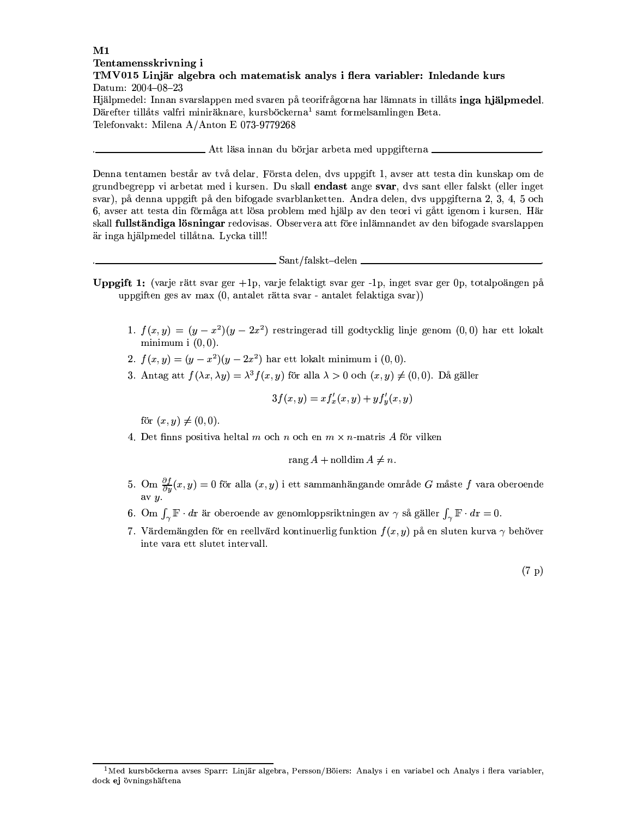## $\mathbf{M}1$ Tentamensskrivning i TMV015 Linjär algebra och matematisk analys i flera variabler: Inledande kurs Datum: 2004-08-23 Hjälpmedel: Innan svarslappen med svaren på teorifrågorna har lämnats in tillåts inga hjälpmedel. Därefter tillåts valfri miniräknare, kursböckerna<sup>1</sup> samt formelsamlingen Beta.

Telefonvakt: Milena A/Anton E 073-9779268

## . Att läsa innan du böriar arbeta med uppgifterna .

Denna tentamen består av två delar. Första delen, dvs uppgift 1, avser att testa din kunskap om de grundbegrepp vi arbetat med i kursen. Du skall endast ange svar, dvs sant eller falskt (eller inget svar), på denna uppgift på den bifogade svarblanketten. Andra delen, dvs uppgifterna 2, 3, 4, 5 och 6, avser att testa din förmåga att lösa problem med hjälp av den teori vi gått igenom i kursen. Här skall fullständiga lösningar redovisas. Observera att före inlämnandet av den bifogade svarslappen är inga hjälpmedel tillåtna. Lycka till!!

 $\_$  Sant/falskt-delen

- **Uppgift 1:** (varje rätt svar ger  $+1p$ , varje felaktigt svar ger  $-1p$ , inget svar ger 0p, totalpoängen på uppgiften ges av max (0, antalet rätta svar - antalet felaktiga svar))
	- 1.  $f(x,y) = (y-x^2)(y-2x^2)$  restringerad till godtycklig linje genom  $(0,0)$  har ett lokalt minimum  $(0,0)$ .
	- 2.  $f(x, y) = (y x^2)(y 2x^2)$  har ett lokalt minimum i (0,0).
	- 3. Antag att  $f(\lambda x, \lambda y) = \lambda^3 f(x, y)$  för alla  $\lambda > 0$  och  $(x, y) \neq (0, 0)$ . Då gäller

$$
3f(x,y) = x f'_x(x,y) + y f'_y(x,y)
$$

för  $(x, y) \neq (0, 0)$ .

4. Det finns positiva heltal m och n och en  $m \times n$ -matris A för vilken

$$
rang A + nolldim A \neq n.
$$

- 5. Om $\frac{\partial f}{\partial y}(x,y)=0$ för alla $(x,y)$ i ett sammanhängande område $G$ måste $f$ vara oberoende
- 6. Om  $\int_{\gamma} \mathbb{F} \cdot d\mathbf{r}$  är oberoende av genomloppsriktningen av  $\gamma$  så gäller  $\int_{\gamma} \mathbb{F} \cdot d\mathbf{r} = 0$ .
- 7. Värdemängden för en reellvärd kontinuerlig funktion  $f(x, y)$  på en sluten kurva  $\gamma$  behöver inte vara ett slutet intervall.

 $^1$ Med kursböckerna avses Sparr: Linjär algebra, Persson/Böiers: Analys i en variabel och Analys i flera variabler, dock ej övningshäftena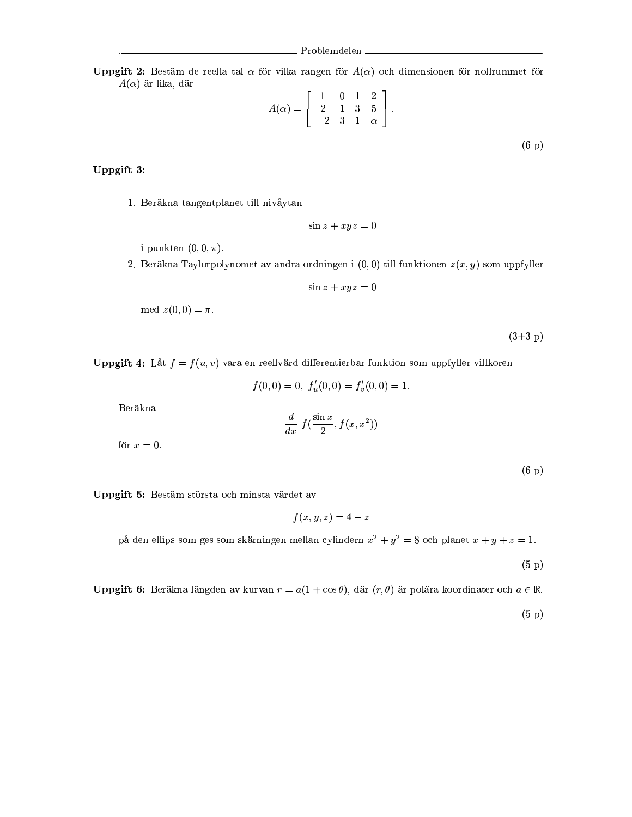**Uppgift 2:** Bestäm de reella tal  $\alpha$  för vilka rangen för  $A(\alpha)$  och dimensionen för nollrummet för  $A(\alpha)$  är lika, där

$$
A(\alpha) = \begin{bmatrix} 1 & 0 & 1 & 2 \\ 2 & 1 & 3 & 5 \\ -2 & 3 & 1 & \alpha \end{bmatrix}.
$$
 (6 p)

## Uppgift 3:

1. Beräkna tangentplanet till nivåytan

$$
\sin z + xyz = 0
$$

i punkten  $(0,0,\pi)$ .

2. Beräkna Taylorpolynomet av andra ordningen i  $(0,0)$  till funktionen  $z(x,y)$  som uppfyller

$$
\sin z + xyz = 0
$$

$$
med z(0,0) = \pi.
$$

 $(3+3 p)$ 

**Uppgift 4:** Låt  $f = f(u, v)$  vara en reellvärd differentierbar funktion som uppfyller villkoren

$$
f(0,0) = 0, f'_u(0,0) = f'_v(0,0) = 1.
$$

Beräkna

$$
\frac{d}{dx} f(\frac{\sin x}{2}, f(x, x^2))
$$

för  $x=0$ .

 $(6 p)$ 

Uppgift 5: Bestäm största och minsta värdet av

 $f(x, y, z) = 4 - z$ 

på den ellips som ges som skärningen mellan cylindern  $x^2 + y^2 = 8$  och planet  $x + y + z = 1$ .

 $(5\;p)$ 

**Uppgift 6:** Beräkna längden av kurvan  $r = a(1 + \cos \theta)$ , där  $(r, \theta)$  är polära koordinater och  $a \in \mathbb{R}$ .

 $(5 p)$